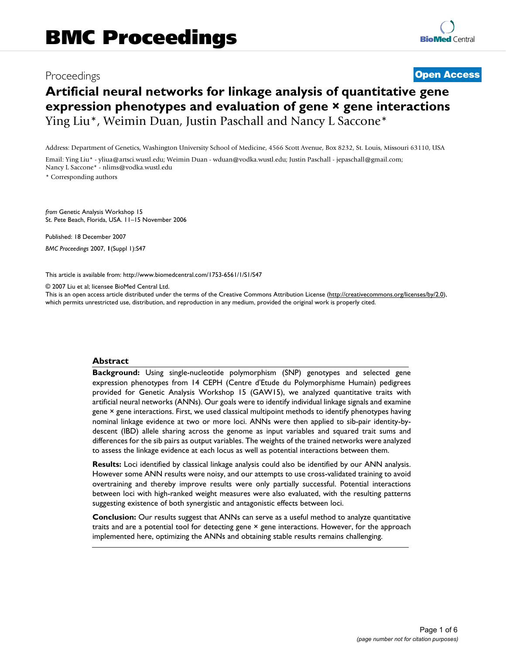## Proceedings **[Open Access](http://www.biomedcentral.com/info/about/charter/)**

# **Artificial neural networks for linkage analysis of quantitative gene expression phenotypes and evaluation of gene × gene interactions** Ying Liu\*, Weimin Duan, Justin Paschall and Nancy L Saccone\*

Address: Department of Genetics, Washington University School of Medicine, 4566 Scott Avenue, Box 8232, St. Louis, Missouri 63110, USA

Email: Ying Liu\* - yliua@artsci.wustl.edu; Weimin Duan - wduan@vodka.wustl.edu; Justin Paschall - jepaschall@gmail.com; Nancy L Saccone\* - nlims@vodka.wustl.edu

\* Corresponding authors

*from* Genetic Analysis Workshop 15 St. Pete Beach, Florida, USA. 11–15 November 2006

Published: 18 December 2007 *BMC Proceedings* 2007, **1**(Suppl 1):S47

[This article is available from: http://www.biomedcentral.com/1753-6561/1/S1/S47](http://www.biomedcentral.com/1753-6561/1/S1/S47)

© 2007 Liu et al; licensee BioMed Central Ltd.

This is an open access article distributed under the terms of the Creative Commons Attribution License [\(http://creativecommons.org/licenses/by/2.0\)](http://creativecommons.org/licenses/by/2.0), which permits unrestricted use, distribution, and reproduction in any medium, provided the original work is properly cited.

#### **Abstract**

**Background:** Using single-nucleotide polymorphism (SNP) genotypes and selected gene expression phenotypes from 14 CEPH (Centre d'Etude du Polymorphisme Humain) pedigrees provided for Genetic Analysis Workshop 15 (GAW15), we analyzed quantitative traits with artificial neural networks (ANNs). Our goals were to identify individual linkage signals and examine gene × gene interactions. First, we used classical multipoint methods to identify phenotypes having nominal linkage evidence at two or more loci. ANNs were then applied to sib-pair identity-bydescent (IBD) allele sharing across the genome as input variables and squared trait sums and differences for the sib pairs as output variables. The weights of the trained networks were analyzed to assess the linkage evidence at each locus as well as potential interactions between them.

**Results:** Loci identified by classical linkage analysis could also be identified by our ANN analysis. However some ANN results were noisy, and our attempts to use cross-validated training to avoid overtraining and thereby improve results were only partially successful. Potential interactions between loci with high-ranked weight measures were also evaluated, with the resulting patterns suggesting existence of both synergistic and antagonistic effects between loci.

**Conclusion:** Our results suggest that ANNs can serve as a useful method to analyze quantitative traits and are a potential tool for detecting gene × gene interactions. However, for the approach implemented here, optimizing the ANNs and obtaining stable results remains challenging.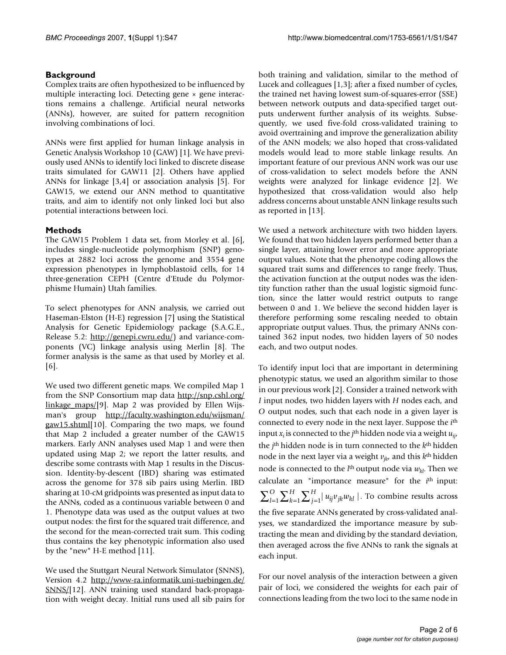#### **Background**

Complex traits are often hypothesized to be influenced by multiple interacting loci. Detecting gene × gene interactions remains a challenge. Artificial neural networks (ANNs), however, are suited for pattern recognition involving combinations of loci.

ANNs were first applied for human linkage analysis in Genetic Analysis Workshop 10 (GAW) [1]. We have previously used ANNs to identify loci linked to discrete disease traits simulated for GAW11 [2]. Others have applied ANNs for linkage [3,4] or association analysis [5]. For GAW15, we extend our ANN method to quantitative traits, and aim to identify not only linked loci but also potential interactions between loci.

### **Methods**

The GAW15 Problem 1 data set, from Morley et al. [6], includes single-nucleotide polymorphism (SNP) genotypes at 2882 loci across the genome and 3554 gene expression phenotypes in lymphoblastoid cells, for 14 three-generation CEPH (Centre d'Etude du Polymorphisme Humain) Utah families.

To select phenotypes for ANN analysis, we carried out Haseman-Elston (H-E) regression [7] using the Statistical Analysis for Genetic Epidemiology package (S.A.G.E., Release 5.2: <http://genepi.cwru.edu/>) and variance-components (VC) linkage analysis using Merlin [8]. The former analysis is the same as that used by Morley et al. [6].

We used two different genetic maps. We compiled Map 1 from the SNP Consortium map data [http://snp.cshl.org/](http://snp.cshl.org/linkage_maps/) [linkage\\_maps/\[](http://snp.cshl.org/linkage_maps/)9]. Map 2 was provided by Ellen Wijsman's group [http://faculty.washington.edu/wijsman/](http://faculty.washington.edu/wijsman/gaw15.shtml) [gaw15.shtml](http://faculty.washington.edu/wijsman/gaw15.shtml)[10]. Comparing the two maps, we found that Map 2 included a greater number of the GAW15 markers. Early ANN analyses used Map 1 and were then updated using Map 2; we report the latter results, and describe some contrasts with Map 1 results in the Discussion. Identity-by-descent (IBD) sharing was estimated across the genome for 378 sib pairs using Merlin. IBD sharing at 10-cM gridpoints was presented as input data to the ANNs, coded as a continuous variable between 0 and 1. Phenotype data was used as the output values at two output nodes: the first for the squared trait difference, and the second for the mean-corrected trait sum. This coding thus contains the key phenotypic information also used by the "new" H-E method [11].

We used the Stuttgart Neural Network Simulator (SNNS), Version 4.2 [http://www-ra.informatik.uni-tuebingen.de/](http://www-ra.informatik.uni-tuebingen.de/SNNS/) [SNNS/\[](http://www-ra.informatik.uni-tuebingen.de/SNNS/)12]. ANN training used standard back-propagation with weight decay. Initial runs used all sib pairs for both training and validation, similar to the method of Lucek and colleagues [1,3]; after a fixed number of cycles, the trained net having lowest sum-of-squares-error (SSE) between network outputs and data-specified target outputs underwent further analysis of its weights. Subsequently, we used five-fold cross-validated training to avoid overtraining and improve the generalization ability of the ANN models; we also hoped that cross-validated models would lead to more stable linkage results. An important feature of our previous ANN work was our use of cross-validation to select models before the ANN weights were analyzed for linkage evidence [2]. We hypothesized that cross-validation would also help address concerns about unstable ANN linkage results such as reported in [13].

We used a network architecture with two hidden layers. We found that two hidden layers performed better than a single layer, attaining lower error and more appropriate output values. Note that the phenotype coding allows the squared trait sums and differences to range freely. Thus, the activation function at the output nodes was the identity function rather than the usual logistic sigmoid function, since the latter would restrict outputs to range between 0 and 1. We believe the second hidden layer is therefore performing some rescaling needed to obtain appropriate output values. Thus, the primary ANNs contained 362 input nodes, two hidden layers of 50 nodes each, and two output nodes.

To identify input loci that are important in determining phenotypic status, we used an algorithm similar to those in our previous work [2]. Consider a trained network with *I* input nodes, two hidden layers with *H* nodes each, and *O* output nodes, such that each node in a given layer is connected to every node in the next layer. Suppose the *i*th input  $x_i$  is connected to the *j*<sup>th</sup> hidden node via a weight  $u_{ii'}$ the *j*th hidden node is in turn connected to the *k*th hidden node in the next layer via a weight  $v_{ik}$ , and this  $k<sup>th</sup>$  hidden node is connected to the  $l<sup>th</sup>$  output node via  $w_{kl}$ . Then we calculate an "importance measure" for the *i*th input:  $\prod\limits_{j = 1}^H {|{u_{ij}}{v_{jk}}{w_{kl}}|}$  . To combine results across the five separate ANNs generated by cross-validated analyses, we standardized the importance measure by subtracting the mean and dividing by the standard deviation, then averaged across the five ANNs to rank the signals at each input. *k H l*  $\sum_{l=1}^O\sum_{k=1}^H\sum_{j=1}^H$ 

For our novel analysis of the interaction between a given pair of loci, we considered the weights for each pair of connections leading from the two loci to the same node in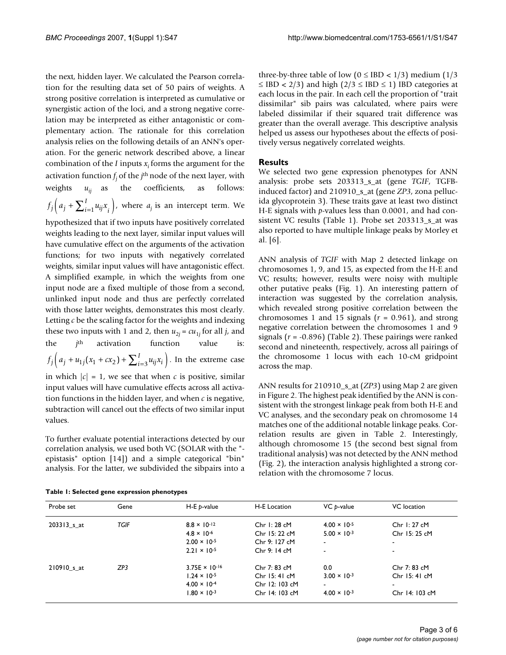the next, hidden layer. We calculated the Pearson correlation for the resulting data set of 50 pairs of weights. A strong positive correlation is interpreted as cumulative or synergistic action of the loci, and a strong negative correlation may be interpreted as either antagonistic or complementary action. The rationale for this correlation analysis relies on the following details of an ANN's operation. For the generic network described above, a linear combination of the *I* inputs *xi* forms the argument for the activation function *fj* of the *j*th node of the next layer, with weights  $u_{ii}$  as the coefficients, as follows:  $f_j\Big(a_j + \sum_{i=1}^I u_{ij}x_i\Big)$ , where  $a_j$  is an intercept term. We  $\left( a_j + \sum_{i=1}^l u_{ij} x_i \right)$ 

hypothesized that if two inputs have positively correlated weights leading to the next layer, similar input values will have cumulative effect on the arguments of the activation functions; for two inputs with negatively correlated weights, similar input values will have antagonistic effect. A simplified example, in which the weights from one input node are a fixed multiple of those from a second, unlinked input node and thus are perfectly correlated with those latter weights, demonstrates this most clearly. Letting *c* be the scaling factor for the weights and indexing these two inputs with 1 and 2, then  $u_{2i} = cu_{1i}$  for all *j*, and the *j*<sup>th</sup> activation function value  $f_j\Big(a_j+u_{1j}(x_1+cx_2)+\sum_{i=3}^I u_{ij}x_i\Big).$  In the extreme case in which  $|c| = 1$ , we see that when *c* is positive, similar input values will have cumulative effects across all activation functions in the hidden layer, and when *c* is negative, subtraction will cancel out the effects of two similar input values.

To further evaluate potential interactions detected by our correlation analysis, we used both VC (SOLAR with the " epistasis" option [14]) and a simple categorical "bin" analysis. For the latter, we subdivided the sibpairs into a

three-by-three table of low ( $0 \leq IBD < 1/3$ ) medium ( $1/3$  $\leq$  IBD < 2/3) and high (2/3  $\leq$  IBD  $\leq$  1) IBD categories at each locus in the pair. In each cell the proportion of "trait dissimilar" sib pairs was calculated, where pairs were labeled dissimilar if their squared trait difference was greater than the overall average. This descriptive analysis helped us assess our hypotheses about the effects of positively versus negatively correlated weights.

#### **Results**

We selected two gene expression phenotypes for ANN analysis: probe sets 203313\_s\_at (gene *TGIF*, TGFBinduced factor) and 210910\_s\_at (gene *ZP3*, zona pellucida glycoprotein 3). These traits gave at least two distinct H-E signals with *p*-values less than 0.0001, and had consistent VC results (Table 1). Probe set 203313\_s\_at was also reported to have multiple linkage peaks by Morley et al. [6].

ANN analysis of *TGIF* with Map 2 detected linkage on chromosomes 1, 9, and 15, as expected from the H-E and VC results; however, results were noisy with multiple other putative peaks (Fig. 1). An interesting pattern of interaction was suggested by the correlation analysis, which revealed strong positive correlation between the chromosomes 1 and 15 signals  $(r = 0.961)$ , and strong negative correlation between the chromosomes 1 and 9 signals (*r* = -0.896) (Table 2). These pairings were ranked second and nineteenth, respectively, across all pairings of the chromosome 1 locus with each 10-cM gridpoint across the map.

ANN results for 210910 s at (*ZP3*) using Map 2 are given in Figure 2. The highest peak identified by the ANN is consistent with the strongest linkage peak from both H-E and VC analyses, and the secondary peak on chromosome 14 matches one of the additional notable linkage peaks. Correlation results are given in Table 2. Interestingly, although chromosome 15 (the second best signal from traditional analysis) was not detected by the ANN method (Fig. 2), the interaction analysis highlighted a strong correlation with the chromosome 7 locus.

| Probe set   | Gene        | $H-E$ p-value           | H-E Location   | VC p-value            | VC location              |
|-------------|-------------|-------------------------|----------------|-----------------------|--------------------------|
| 203313 s at | <b>TGIF</b> | $8.8 \times 10^{-12}$   | Chr $1:28$ cM  | $4.00 \times 10^{-5}$ | Chr $1:27$ cM            |
|             |             | $4.8 \times 10^{-6}$    | Chr 15: 22 cM  | $5.00 \times 10^{-3}$ | Chr 15: 25 cM            |
|             |             | $2.00 \times 10^{-5}$   | Chr 9: 127 cM  |                       | ۰                        |
|             |             | $2.21 \times 10^{-5}$   | Chr 9: 14 cM   |                       | $\overline{\phantom{a}}$ |
| 210910 s at | ZP3         | $3.75E \times 10^{-16}$ | Chr 7: 83 cM   | 0.0                   | Chr 7: 83 cM             |
|             |             | $1.24 \times 10^{-5}$   | Chr $15:41$ cM | $3.00 \times 10^{-3}$ | Chr 15: 41 cM            |
|             |             | $4.00 \times 10^{-4}$   | Chr 12: 103 cM | $\blacksquare$        | $\overline{\phantom{a}}$ |
|             |             | $1.80 \times 10^{-3}$   | Chr 14: 103 cM | $4.00 \times 10^{-3}$ | Chr 14: 103 cM           |
|             |             |                         |                |                       |                          |

**Table 1: Selected gene expression phenotypes**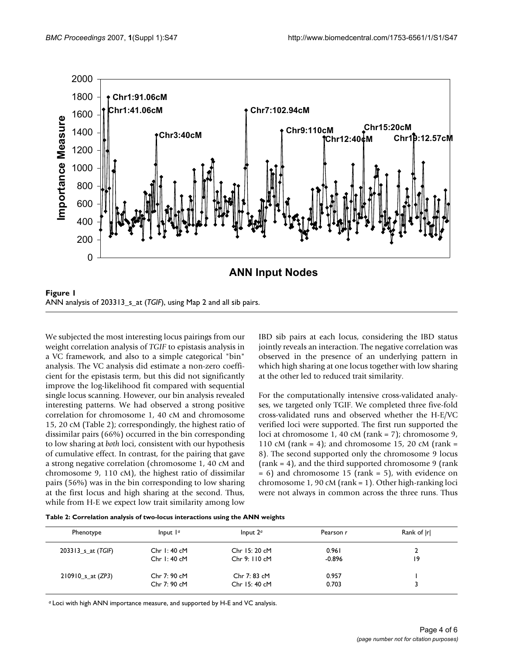

We subjected the most interesting locus pairings from our weight correlation analysis of *TGIF* to epistasis analysis in a VC framework, and also to a simple categorical "bin" analysis. The VC analysis did estimate a non-zero coefficient for the epistasis term, but this did not significantly improve the log-likelihood fit compared with sequential single locus scanning. However, our bin analysis revealed interesting patterns. We had observed a strong positive correlation for chromosome 1, 40 cM and chromosome 15, 20 cM (Table 2); correspondingly, the highest ratio of dissimilar pairs (66%) occurred in the bin corresponding to low sharing at *both* loci, consistent with our hypothesis of cumulative effect. In contrast, for the pairing that gave a strong negative correlation (chromosome 1, 40 cM and chromosome 9, 110 cM), the highest ratio of dissimilar pairs (56%) was in the bin corresponding to low sharing at the first locus and high sharing at the second. Thus, while from H-E we expect low trait similarity among low IBD sib pairs at each locus, considering the IBD status jointly reveals an interaction. The negative correlation was observed in the presence of an underlying pattern in which high sharing at one locus together with low sharing at the other led to reduced trait similarity.

For the computationally intensive cross-validated analyses, we targeted only TGIF. We completed three five-fold cross-validated runs and observed whether the H-E/VC verified loci were supported. The first run supported the loci at chromosome 1, 40 cM (rank = 7); chromosome 9, 110 cM (rank = 4); and chromosome 15, 20 cM (rank = 8). The second supported only the chromosome 9 locus  $(rank = 4)$ , and the third supported chromosome 9 (rank  $= 6$ ) and chromosome 15 (rank  $= 5$ ), with evidence on chromosome 1, 90 cM (rank = 1). Other high-ranking loci were not always in common across the three runs. Thus

|  | Table 2: Correlation analysis of two-locus interactions using the ANN weights |  |  |  |
|--|-------------------------------------------------------------------------------|--|--|--|
|--|-------------------------------------------------------------------------------|--|--|--|

| Phenotype            | Input $1a$    | Input $2a$    | Pearson r | Rank of  r |
|----------------------|---------------|---------------|-----------|------------|
| 203313 $s$ at (TGIF) | Chr $1:40$ cM | Chr 15: 20 cM | 0.961     |            |
|                      | Chr $1:40 cM$ | Chr 9: 110 cM | $-0.896$  | 19         |
| $210910$ s_at (ZP3)  | Chr 7: 90 cM  | Chr 7: 83 cM  | 0.957     |            |
|                      | Chr 7: 90 cM  | Chr 15: 40 cM | 0.703     |            |

*a* Loci with high ANN importance measure, and supported by H-E and VC analysis.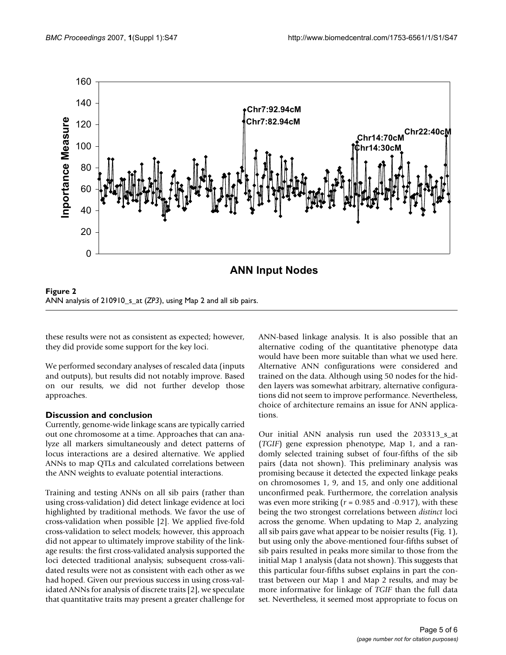

Figure 2 ANN analysis of 210910 s at (*ZP3*), using Map 2 and all sib pairs.

these results were not as consistent as expected; however, they did provide some support for the key loci.

We performed secondary analyses of rescaled data (inputs and outputs), but results did not notably improve. Based on our results, we did not further develop those approaches.

#### **Discussion and conclusion**

Currently, genome-wide linkage scans are typically carried out one chromosome at a time. Approaches that can analyze all markers simultaneously and detect patterns of locus interactions are a desired alternative. We applied ANNs to map QTLs and calculated correlations between the ANN weights to evaluate potential interactions.

Training and testing ANNs on all sib pairs (rather than using cross-validation) did detect linkage evidence at loci highlighted by traditional methods. We favor the use of cross-validation when possible [2]. We applied five-fold cross-validation to select models; however, this approach did not appear to ultimately improve stability of the linkage results: the first cross-validated analysis supported the loci detected traditional analysis; subsequent cross-validated results were not as consistent with each other as we had hoped. Given our previous success in using cross-validated ANNs for analysis of discrete traits [2], we speculate that quantitative traits may present a greater challenge for ANN-based linkage analysis. It is also possible that an alternative coding of the quantitative phenotype data would have been more suitable than what we used here. Alternative ANN configurations were considered and trained on the data. Although using 50 nodes for the hidden layers was somewhat arbitrary, alternative configurations did not seem to improve performance. Nevertheless, choice of architecture remains an issue for ANN applications.

Our initial ANN analysis run used the 203313 s at (*TGIF*) gene expression phenotype, Map 1, and a randomly selected training subset of four-fifths of the sib pairs (data not shown). This preliminary analysis was promising because it detected the expected linkage peaks on chromosomes 1, 9, and 15, and only one additional unconfirmed peak. Furthermore, the correlation analysis was even more striking (*r* = 0.985 and -0.917), with these being the two strongest correlations between *distinct* loci across the genome. When updating to Map 2, analyzing all sib pairs gave what appear to be noisier results (Fig. 1), but using only the above-mentioned four-fifths subset of sib pairs resulted in peaks more similar to those from the initial Map 1 analysis (data not shown). This suggests that this particular four-fifths subset explains in part the contrast between our Map 1 and Map 2 results, and may be more informative for linkage of *TGIF* than the full data set. Nevertheless, it seemed most appropriate to focus on